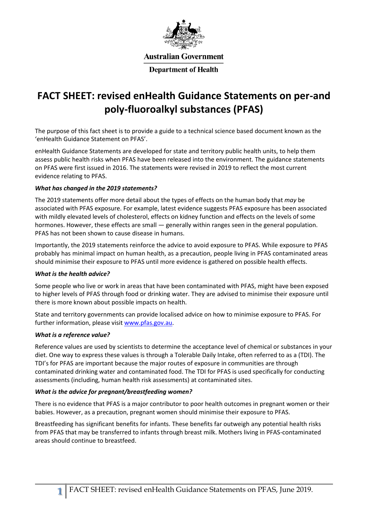

**Australian Government** 

**Department of Health** 

# **FACT SHEET: revised enHealth Guidance Statements on per-and poly-fluoroalkyl substances (PFAS)**

The purpose of this fact sheet is to provide a guide to a technical science based document known as the 'enHealth Guidance Statement on PFAS'.

enHealth Guidance Statements are developed for state and territory public health units, to help them assess public health risks when PFAS have been released into the environment. The guidance statements on PFAS were first issued in 2016. The statements were revised in 2019 to reflect the most current evidence relating to PFAS.

# *What has changed in the 2019 statements?*

The 2019 statements offer more detail about the types of effects on the human body that *may* be associated with PFAS exposure. For example, latest evidence suggests PFAS exposure has been associated with mildly elevated levels of cholesterol, effects on kidney function and effects on the levels of some hormones. However, these effects are small — generally within ranges seen in the general population. PFAS has not been shown to cause disease in humans.

Importantly, the 2019 statements reinforce the advice to avoid exposure to PFAS. While exposure to PFAS probably has minimal impact on human health, as a precaution, people living in PFAS contaminated areas should minimise their exposure to PFAS until more evidence is gathered on possible health effects.

# *What is the health advice?*

Some people who live or work in areas that have been contaminated with PFAS, might have been exposed to higher levels of PFAS through food or drinking water. They are advised to minimise their exposure until there is more known about possible impacts on health.

State and territory governments can provide localised advice on how to minimise exposure to PFAS. For further information, please visit [www.pfas.gov.au.](http://www.pfas.gov.au/)

# *What is a reference value?*

Reference values are used by scientists to determine the acceptance level of chemical or substances in your diet. One way to express these values is through a Tolerable Daily Intake, often referred to as a (TDI). The TDI's for PFAS are important because the major routes of exposure in communities are through contaminated drinking water and contaminated food. The TDI for PFAS is used specifically for conducting assessments (including, human health risk assessments) at contaminated sites.

# *What is the advice for pregnant/breastfeeding women?*

There is no evidence that PFAS is a major contributor to poor health outcomes in pregnant women or their babies. However, as a precaution, pregnant women should minimise their exposure to PFAS.

Breastfeeding has significant benefits for infants. These benefits far outweigh any potential health risks from PFAS that may be transferred to infants through breast milk. Mothers living in PFAS-contaminated areas should continue to breastfeed.